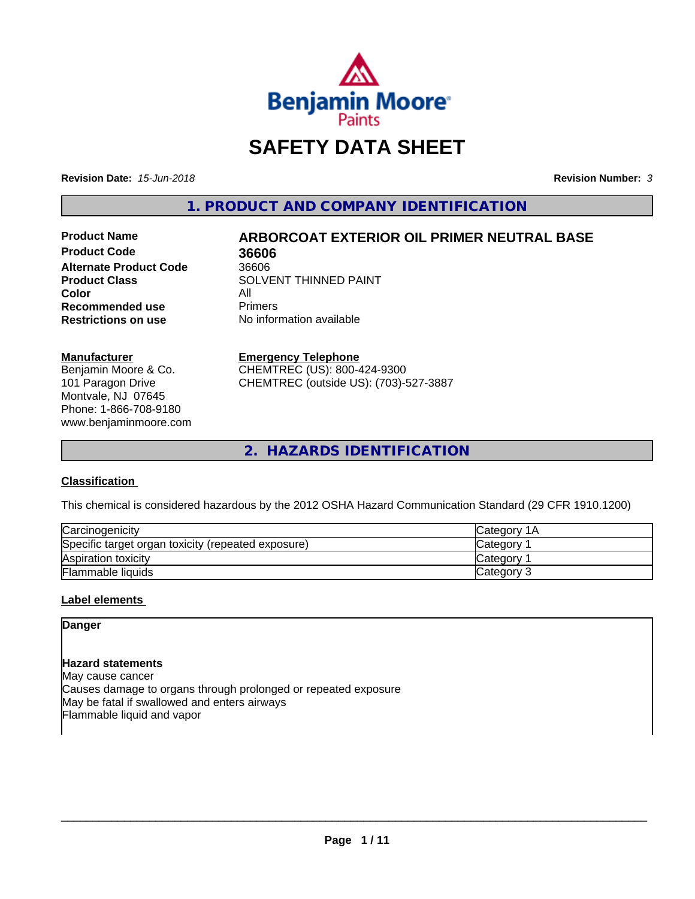

# **SAFETY DATA SHEET**

**Revision Date:** *15-Jun-2018* **Revision Number:** *3*

**1. PRODUCT AND COMPANY IDENTIFICATION**

**Product Code 36606 Alternate Product Code 36606<br>Product Class 30LVI Color** All<br> **Recommended use** Primers **Recommended use**<br>Restrictions on use

# **Product Name ARBORCOAT EXTERIOR OIL PRIMER NEUTRAL BASE**

**SOLVENT THINNED PAINT No information available** 

#### **Manufacturer**

Benjamin Moore & Co. 101 Paragon Drive Montvale, NJ 07645 Phone: 1-866-708-9180 www.benjaminmoore.com

#### **Emergency Telephone**

CHEMTREC (US): 800-424-9300 CHEMTREC (outside US): (703)-527-3887

**2. HAZARDS IDENTIFICATION**

## **Classification**

This chemical is considered hazardous by the 2012 OSHA Hazard Communication Standard (29 CFR 1910.1200)

| Carcinogenicity                                    | <b>ICategory 1A</b> |
|----------------------------------------------------|---------------------|
| Specific target organ toxicity (repeated exposure) | Category            |
| Aspiration toxicity                                | <b>Category</b>     |
| Flammable liquids                                  | Category 3          |

## **Label elements**

## **Danger**

## **Hazard statements**

May cause cancer Causes damage to organs through prolonged or repeated exposure May be fatal if swallowed and enters airways Flammable liquid and vapor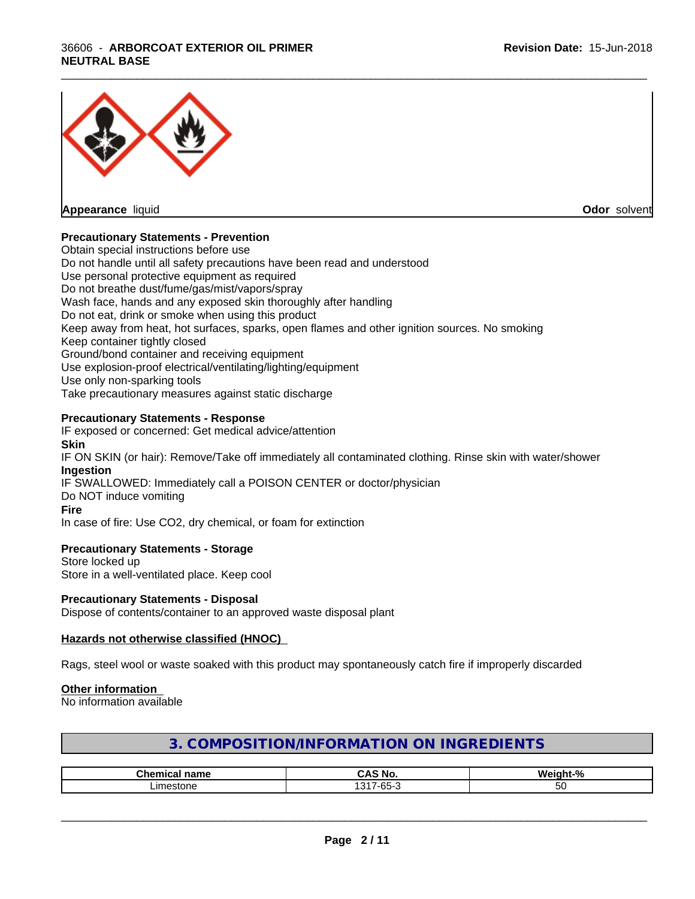## 36606 - **ARBORCOAT EXTERIOR OIL PRIMER NEUTRAL BASE**



**Appearance** liquid **Odor** solvent

## **Precautionary Statements - Prevention**

Obtain special instructions before use Do not handle until all safety precautions have been read and understood Use personal protective equipment as required Do not breathe dust/fume/gas/mist/vapors/spray Wash face, hands and any exposed skin thoroughly after handling Do not eat, drink or smoke when using this product Keep away from heat, hot surfaces, sparks, open flames and other ignition sources. No smoking Keep container tightly closed Ground/bond container and receiving equipment Use explosion-proof electrical/ventilating/lighting/equipment Use only non-sparking tools Take precautionary measures against static discharge

\_\_\_\_\_\_\_\_\_\_\_\_\_\_\_\_\_\_\_\_\_\_\_\_\_\_\_\_\_\_\_\_\_\_\_\_\_\_\_\_\_\_\_\_\_\_\_\_\_\_\_\_\_\_\_\_\_\_\_\_\_\_\_\_\_\_\_\_\_\_\_\_\_\_\_\_\_\_\_\_\_\_\_\_\_\_\_\_\_\_\_\_\_

## **Precautionary Statements - Response**

IF exposed or concerned: Get medical advice/attention **Skin** IF ON SKIN (or hair): Remove/Take off immediately all contaminated clothing. Rinse skin with water/shower **Ingestion** IF SWALLOWED: Immediately call a POISON CENTER or doctor/physician Do NOT induce vomiting **Fire** In case of fire: Use CO2, dry chemical, or foam for extinction

## **Precautionary Statements - Storage**

Store locked up Store in a well-ventilated place. Keep cool

## **Precautionary Statements - Disposal**

Dispose of contents/container to an approved waste disposal plant

## **Hazards not otherwise classified (HNOC)**

Rags, steel wool or waste soaked with this product may spontaneously catch fire if improperly discarded

## **Other information**

No information available

| 3. COMPOSITION/INFORMATION ON INGREDIENTS |  |
|-------------------------------------------|--|
|-------------------------------------------|--|

| ™ho.<br>--<br>name | <br>м.                                           | . .<br>$\sqrt{2}$ |
|--------------------|--------------------------------------------------|-------------------|
| imathn             | $\sqrt{2}$<br>$\sim$ $\sim$<br>$-55$<br>-บน<br>ີ | -<br>w            |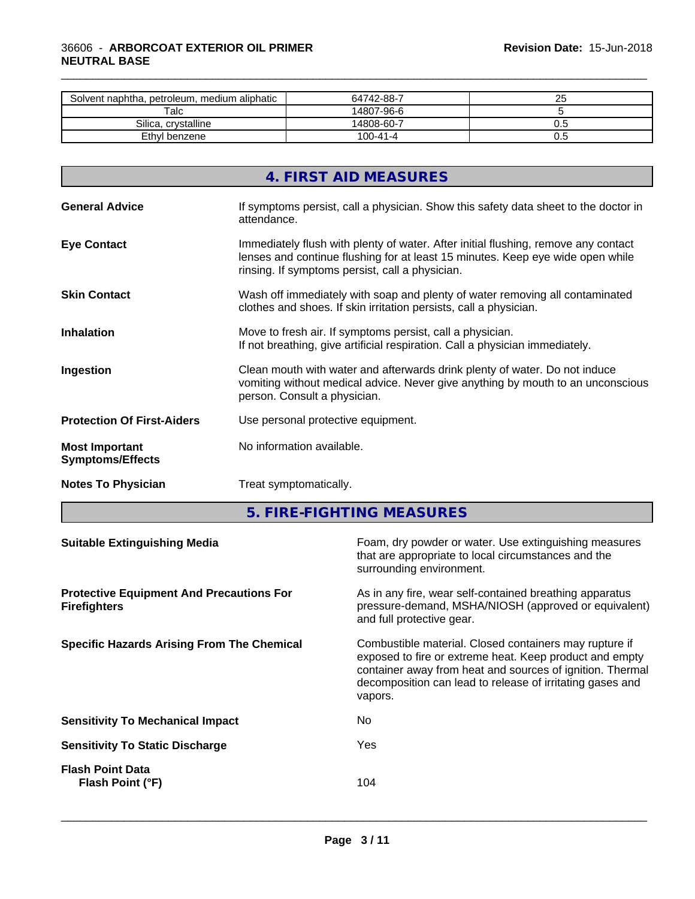| Solvent naphtha, petroleum, medium aliphatic | 64742-88-7     | n r<br>∼ |
|----------------------------------------------|----------------|----------|
| Talc                                         | 14807-96-6     |          |
| Silica.<br>. crvstalline                     | 14808-60-7     | ∪.⊾      |
| Ethyl benzene                                | $100 - 41 - 4$ | v.J      |

\_\_\_\_\_\_\_\_\_\_\_\_\_\_\_\_\_\_\_\_\_\_\_\_\_\_\_\_\_\_\_\_\_\_\_\_\_\_\_\_\_\_\_\_\_\_\_\_\_\_\_\_\_\_\_\_\_\_\_\_\_\_\_\_\_\_\_\_\_\_\_\_\_\_\_\_\_\_\_\_\_\_\_\_\_\_\_\_\_\_\_\_\_

|                                                  | 4. FIRST AID MEASURES                                                                                                                                                                                                   |
|--------------------------------------------------|-------------------------------------------------------------------------------------------------------------------------------------------------------------------------------------------------------------------------|
| <b>General Advice</b>                            | If symptoms persist, call a physician. Show this safety data sheet to the doctor in<br>attendance.                                                                                                                      |
| <b>Eye Contact</b>                               | Immediately flush with plenty of water. After initial flushing, remove any contact<br>lenses and continue flushing for at least 15 minutes. Keep eye wide open while<br>rinsing. If symptoms persist, call a physician. |
| <b>Skin Contact</b>                              | Wash off immediately with soap and plenty of water removing all contaminated<br>clothes and shoes. If skin irritation persists, call a physician.                                                                       |
| <b>Inhalation</b>                                | Move to fresh air. If symptoms persist, call a physician.<br>If not breathing, give artificial respiration. Call a physician immediately.                                                                               |
| Ingestion                                        | Clean mouth with water and afterwards drink plenty of water. Do not induce<br>vomiting without medical advice. Never give anything by mouth to an unconscious<br>person. Consult a physician.                           |
| <b>Protection Of First-Aiders</b>                | Use personal protective equipment.                                                                                                                                                                                      |
| <b>Most Important</b><br><b>Symptoms/Effects</b> | No information available.                                                                                                                                                                                               |
| <b>Notes To Physician</b>                        | Treat symptomatically.                                                                                                                                                                                                  |

**5. FIRE-FIGHTING MEASURES**

| As in any fire, wear self-contained breathing apparatus<br>pressure-demand, MSHA/NIOSH (approved or equivalent)<br>and full protective gear.<br>Combustible material. Closed containers may rupture if<br>exposed to fire or extreme heat. Keep product and empty<br>container away from heat and sources of ignition. Thermal<br>decomposition can lead to release of irritating gases and<br>vapors.<br>No.<br>Yes<br>104<br>Flash Point (°F) | <b>Suitable Extinguishing Media</b>                                    | Foam, dry powder or water. Use extinguishing measures<br>that are appropriate to local circumstances and the<br>surrounding environment. |
|-------------------------------------------------------------------------------------------------------------------------------------------------------------------------------------------------------------------------------------------------------------------------------------------------------------------------------------------------------------------------------------------------------------------------------------------------|------------------------------------------------------------------------|------------------------------------------------------------------------------------------------------------------------------------------|
| <b>Specific Hazards Arising From The Chemical</b><br><b>Sensitivity To Mechanical Impact</b><br><b>Sensitivity To Static Discharge</b><br><b>Flash Point Data</b>                                                                                                                                                                                                                                                                               | <b>Protective Equipment And Precautions For</b><br><b>Firefighters</b> |                                                                                                                                          |
|                                                                                                                                                                                                                                                                                                                                                                                                                                                 |                                                                        |                                                                                                                                          |
|                                                                                                                                                                                                                                                                                                                                                                                                                                                 |                                                                        |                                                                                                                                          |
|                                                                                                                                                                                                                                                                                                                                                                                                                                                 |                                                                        |                                                                                                                                          |
|                                                                                                                                                                                                                                                                                                                                                                                                                                                 |                                                                        |                                                                                                                                          |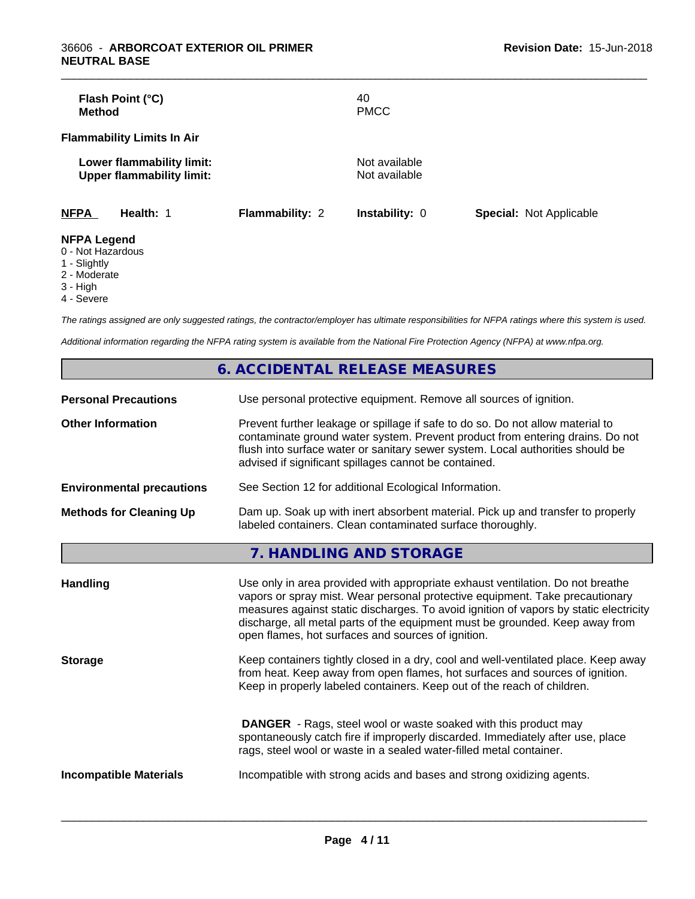| Flash Point (°C)<br><b>Method</b>                             |                        | 40<br><b>PMCC</b>              |                                |
|---------------------------------------------------------------|------------------------|--------------------------------|--------------------------------|
| <b>Flammability Limits In Air</b>                             |                        |                                |                                |
| Lower flammability limit:<br><b>Upper flammability limit:</b> |                        | Not available<br>Not available |                                |
| <b>NFPA</b><br>Health: 1                                      | <b>Flammability: 2</b> | <b>Instability: 0</b>          | <b>Special: Not Applicable</b> |
| <b>NFPA Legend</b><br>0 - Not Hazardous                       |                        |                                |                                |

\_\_\_\_\_\_\_\_\_\_\_\_\_\_\_\_\_\_\_\_\_\_\_\_\_\_\_\_\_\_\_\_\_\_\_\_\_\_\_\_\_\_\_\_\_\_\_\_\_\_\_\_\_\_\_\_\_\_\_\_\_\_\_\_\_\_\_\_\_\_\_\_\_\_\_\_\_\_\_\_\_\_\_\_\_\_\_\_\_\_\_\_\_

- 
- 1 Slightly
- 2 Moderate
- $3 High$
- 4 Severe

*The ratings assigned are only suggested ratings, the contractor/employer has ultimate responsibilities for NFPA ratings where this system is used.*

*Additional information regarding the NFPA rating system is available from the National Fire Protection Agency (NFPA) at www.nfpa.org.*

|                                  | 6. ACCIDENTAL RELEASE MEASURES                                                                                                                                                                                                                                                                                                                                                                |
|----------------------------------|-----------------------------------------------------------------------------------------------------------------------------------------------------------------------------------------------------------------------------------------------------------------------------------------------------------------------------------------------------------------------------------------------|
| <b>Personal Precautions</b>      | Use personal protective equipment. Remove all sources of ignition.                                                                                                                                                                                                                                                                                                                            |
| <b>Other Information</b>         | Prevent further leakage or spillage if safe to do so. Do not allow material to<br>contaminate ground water system. Prevent product from entering drains. Do not<br>flush into surface water or sanitary sewer system. Local authorities should be<br>advised if significant spillages cannot be contained.                                                                                    |
| <b>Environmental precautions</b> | See Section 12 for additional Ecological Information.                                                                                                                                                                                                                                                                                                                                         |
| <b>Methods for Cleaning Up</b>   | Dam up. Soak up with inert absorbent material. Pick up and transfer to properly<br>labeled containers. Clean contaminated surface thoroughly.                                                                                                                                                                                                                                                 |
|                                  | 7. HANDLING AND STORAGE                                                                                                                                                                                                                                                                                                                                                                       |
| <b>Handling</b>                  | Use only in area provided with appropriate exhaust ventilation. Do not breathe<br>vapors or spray mist. Wear personal protective equipment. Take precautionary<br>measures against static discharges. To avoid ignition of vapors by static electricity<br>discharge, all metal parts of the equipment must be grounded. Keep away from<br>open flames, hot surfaces and sources of ignition. |
| <b>Storage</b>                   | Keep containers tightly closed in a dry, cool and well-ventilated place. Keep away<br>from heat. Keep away from open flames, hot surfaces and sources of ignition.<br>Keep in properly labeled containers. Keep out of the reach of children.                                                                                                                                                 |
|                                  | <b>DANGER</b> - Rags, steel wool or waste soaked with this product may<br>spontaneously catch fire if improperly discarded. Immediately after use, place<br>rags, steel wool or waste in a sealed water-filled metal container.                                                                                                                                                               |
| <b>Incompatible Materials</b>    | Incompatible with strong acids and bases and strong oxidizing agents.                                                                                                                                                                                                                                                                                                                         |
|                                  |                                                                                                                                                                                                                                                                                                                                                                                               |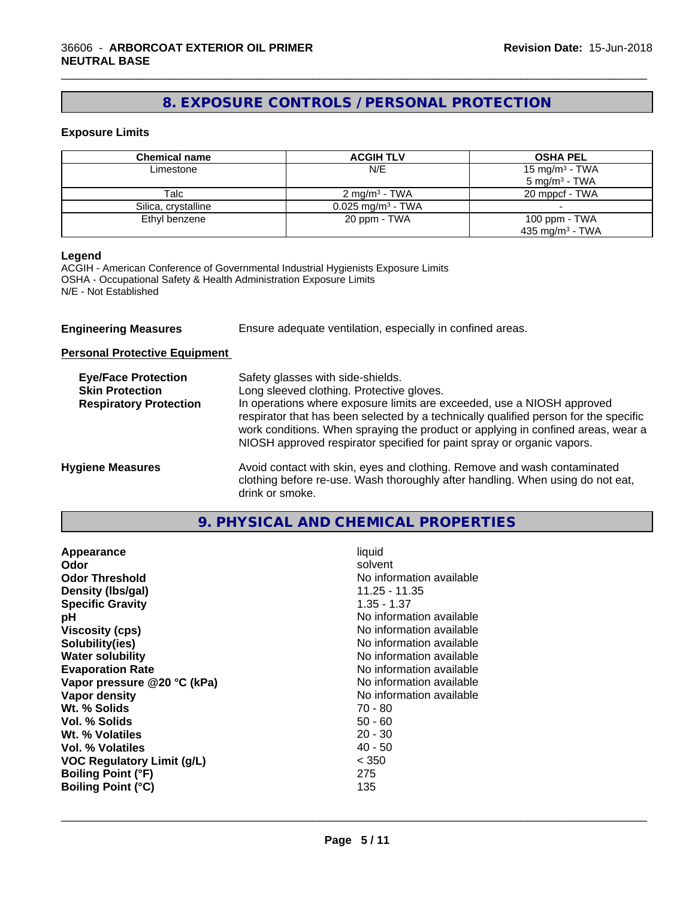# **8. EXPOSURE CONTROLS / PERSONAL PROTECTION**

\_\_\_\_\_\_\_\_\_\_\_\_\_\_\_\_\_\_\_\_\_\_\_\_\_\_\_\_\_\_\_\_\_\_\_\_\_\_\_\_\_\_\_\_\_\_\_\_\_\_\_\_\_\_\_\_\_\_\_\_\_\_\_\_\_\_\_\_\_\_\_\_\_\_\_\_\_\_\_\_\_\_\_\_\_\_\_\_\_\_\_\_\_

## **Exposure Limits**

| <b>Chemical name</b> | <b>ACGIH TLV</b>                | <b>OSHA PEL</b>             |
|----------------------|---------------------------------|-----------------------------|
| Limestone            | N/E                             | 15 mg/m <sup>3</sup> - TWA  |
|                      |                                 | $5 \text{ mg/m}^3$ - TWA    |
| Talc                 | 2 mg/m <sup>3</sup> - TWA       | 20 mppcf - TWA              |
| Silica, crystalline  | $0.025$ mg/m <sup>3</sup> - TWA |                             |
| Ethyl benzene        | 20 ppm - TWA                    | 100 ppm - TWA               |
|                      |                                 | 435 mg/m <sup>3</sup> - TWA |

## **Legend**

ACGIH - American Conference of Governmental Industrial Hygienists Exposure Limits OSHA - Occupational Safety & Health Administration Exposure Limits N/E - Not Established

| <b>Engineering Measures</b> | Ensure adequate ventilation, especially in confined areas. |
|-----------------------------|------------------------------------------------------------|
|                             |                                                            |

**Personal Protective Equipment**

| <b>Eye/Face Protection</b><br><b>Skin Protection</b><br><b>Respiratory Protection</b> | Safety glasses with side-shields.<br>Long sleeved clothing. Protective gloves.<br>In operations where exposure limits are exceeded, use a NIOSH approved<br>respirator that has been selected by a technically qualified person for the specific<br>work conditions. When spraying the product or applying in confined areas, wear a<br>NIOSH approved respirator specified for paint spray or organic vapors. |
|---------------------------------------------------------------------------------------|----------------------------------------------------------------------------------------------------------------------------------------------------------------------------------------------------------------------------------------------------------------------------------------------------------------------------------------------------------------------------------------------------------------|
| <b>Hygiene Measures</b>                                                               | Avoid contact with skin, eyes and clothing. Remove and wash contaminated<br>clothing before re-use. Wash thoroughly after handling. When using do not eat,<br>drink or smoke.                                                                                                                                                                                                                                  |

# **9. PHYSICAL AND CHEMICAL PROPERTIES**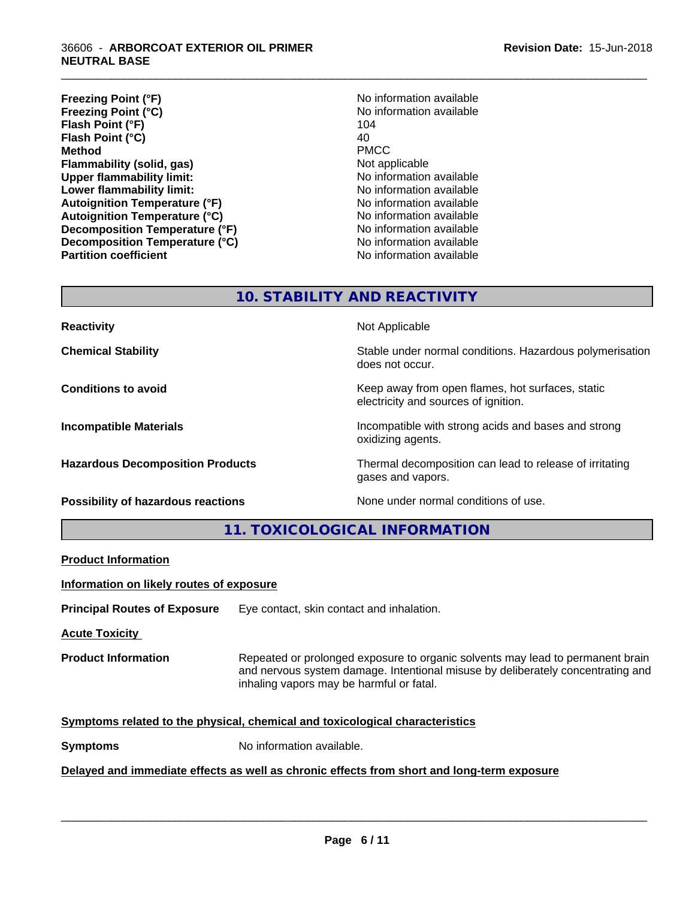## 36606 - **ARBORCOAT EXTERIOR OIL PRIMER NEUTRAL BASE**

- **Freezing Point (°F)**<br> **Freezing Point (°C)**<br> **Freezing Point (°C)**<br> **No** information available **Freezing Point (°C)** No information available to the No information and No information and No information and N<br>Flash Point (°F) 104 **Flash Point (°F) Flash Point**  $(^{\circ}C)$  40 **Method** PMCC **Flammability (solid, gas)** Not applicable **Upper flammability limit:** No information available **Lower flammability limit:**<br> **Autoignition Temperature (°F)** No information available **Autoignition Temperature (°F) Autoignition Temperature (°C)** No information available **Decomposition Temperature (°F)** No information available **Decomposition Temperature (°C)** No information available **Partition coefficient** No information available
- 

\_\_\_\_\_\_\_\_\_\_\_\_\_\_\_\_\_\_\_\_\_\_\_\_\_\_\_\_\_\_\_\_\_\_\_\_\_\_\_\_\_\_\_\_\_\_\_\_\_\_\_\_\_\_\_\_\_\_\_\_\_\_\_\_\_\_\_\_\_\_\_\_\_\_\_\_\_\_\_\_\_\_\_\_\_\_\_\_\_\_\_\_\_

# **10. STABILITY AND REACTIVITY**

**Reactivity Not Applicable Not Applicable** 

**Chemical Stability Stability** Stable under normal conditions. Hazardous polymerisation does not occur.

**Conditions to avoid Keep away from open flames, hot surfaces, static Conditions to avoid Keep away from open flames**, hot surfaces, static electricity and sources of ignition.

**Incompatible Materials Incompatible with strong acids and bases and strong** oxidizing agents.

**Hazardous Decomposition Products** Thermal decomposition can lead to release of irritating gases and vapors.

**Possibility of hazardous reactions** None under normal conditions of use.

**11. TOXICOLOGICAL INFORMATION**

**Product Information**

**Information on likely routes of exposure**

**Principal Routes of Exposure** Eye contact, skin contact and inhalation.

**Acute Toxicity** 

**Product Information** Repeated or prolonged exposure to organic solvents may lead to permanent brain and nervous system damage. Intentional misuse by deliberately concentrating and inhaling vapors may be harmful or fatal.

 $\overline{\phantom{a}}$  ,  $\overline{\phantom{a}}$  ,  $\overline{\phantom{a}}$  ,  $\overline{\phantom{a}}$  ,  $\overline{\phantom{a}}$  ,  $\overline{\phantom{a}}$  ,  $\overline{\phantom{a}}$  ,  $\overline{\phantom{a}}$  ,  $\overline{\phantom{a}}$  ,  $\overline{\phantom{a}}$  ,  $\overline{\phantom{a}}$  ,  $\overline{\phantom{a}}$  ,  $\overline{\phantom{a}}$  ,  $\overline{\phantom{a}}$  ,  $\overline{\phantom{a}}$  ,  $\overline{\phantom{a}}$ 

## **Symptoms related to the physical,chemical and toxicological characteristics**

**Symptoms** No information available.

## **Delayed and immediate effects as well as chronic effects from short and long-term exposure**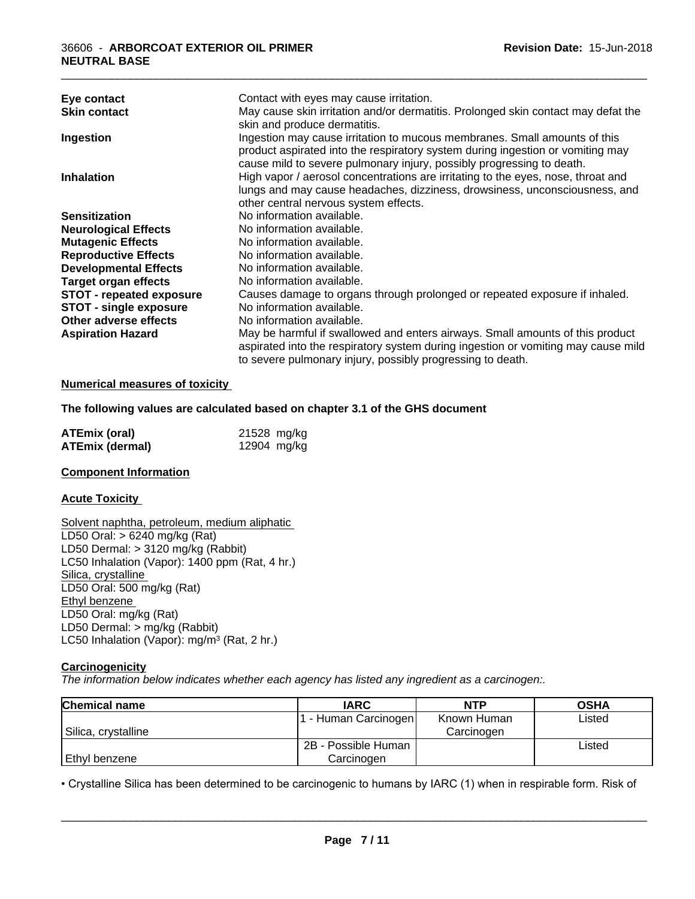|                                 | Contact with eyes may cause irritation.                                           |
|---------------------------------|-----------------------------------------------------------------------------------|
| Eye contact                     | May cause skin irritation and/or dermatitis. Prolonged skin contact may defat the |
| <b>Skin contact</b>             |                                                                                   |
|                                 | skin and produce dermatitis.                                                      |
| Ingestion                       | Ingestion may cause irritation to mucous membranes. Small amounts of this         |
|                                 | product aspirated into the respiratory system during ingestion or vomiting may    |
|                                 | cause mild to severe pulmonary injury, possibly progressing to death.             |
| <b>Inhalation</b>               | High vapor / aerosol concentrations are irritating to the eyes, nose, throat and  |
|                                 | lungs and may cause headaches, dizziness, drowsiness, unconsciousness, and        |
|                                 | other central nervous system effects.                                             |
| <b>Sensitization</b>            | No information available.                                                         |
| <b>Neurological Effects</b>     | No information available.                                                         |
| <b>Mutagenic Effects</b>        | No information available.                                                         |
| <b>Reproductive Effects</b>     | No information available.                                                         |
| <b>Developmental Effects</b>    | No information available.                                                         |
| <b>Target organ effects</b>     | No information available.                                                         |
| <b>STOT - repeated exposure</b> | Causes damage to organs through prolonged or repeated exposure if inhaled.        |
| <b>STOT - single exposure</b>   | No information available.                                                         |
| Other adverse effects           | No information available.                                                         |
| <b>Aspiration Hazard</b>        | May be harmful if swallowed and enters airways. Small amounts of this product     |
|                                 | aspirated into the respiratory system during ingestion or vomiting may cause mild |
|                                 | to severe pulmonary injury, possibly progressing to death.                        |

## **Numerical measures of toxicity**

### **The following values are calculated based on chapter 3.1 of the GHS document**

| <b>ATEmix (oral)</b> | 21528 mg/kg |
|----------------------|-------------|
| ATEmix (dermal)      | 12904 mg/kg |

#### **Component Information**

#### **Acute Toxicity**

Solvent naphtha, petroleum, medium aliphatic LD50 Oral: > 6240 mg/kg (Rat) LD50 Dermal: > 3120 mg/kg (Rabbit) LC50 Inhalation (Vapor): 1400 ppm (Rat, 4 hr.) Silica, crystalline LD50 Oral: 500 mg/kg (Rat) Ethyl benzene LD50 Oral: mg/kg (Rat) LD50 Dermal: > mg/kg (Rabbit) LC50 Inhalation (Vapor): mg/m<sup>3</sup> (Rat, 2 hr.)

## **Carcinogenicity**

*The information below indicateswhether each agency has listed any ingredient as a carcinogen:.*

| <b>Chemical name</b> | <b>IARC</b>         | <b>NTP</b>  | <b>OSHA</b> |
|----------------------|---------------------|-------------|-------------|
|                      | F Human Carcinogen  | Known Human | Listed      |
| Silica, crystalline  |                     | Carcinogen  |             |
|                      | 2B - Possible Human |             | Listed      |
| Ethyl benzene        | Carcinoɑen          |             |             |

• Crystalline Silica has been determined to be carcinogenic to humans by IARC (1) when in respirable form. Risk of<br> **Page 7/11**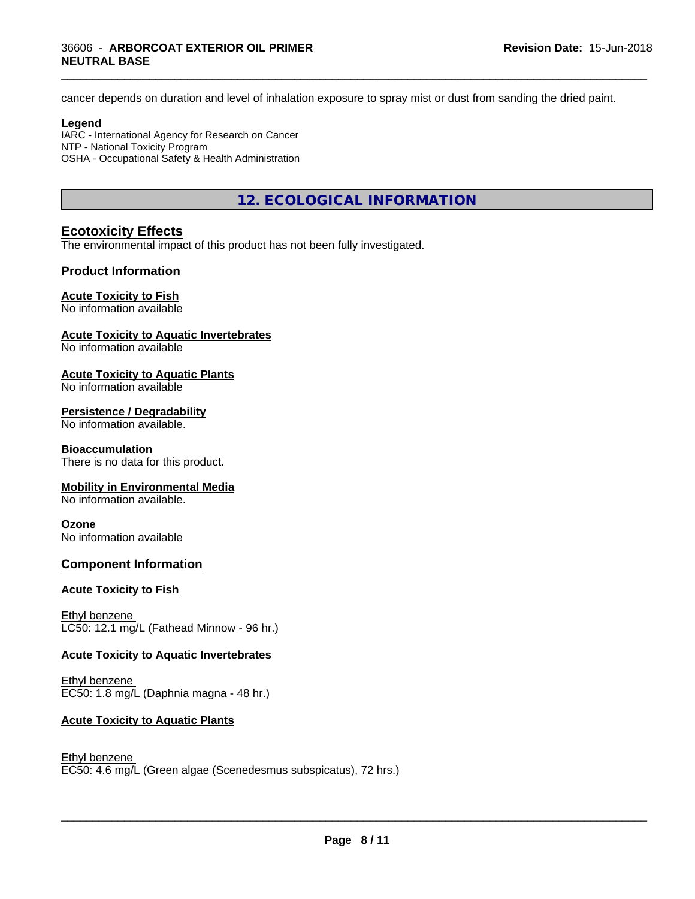cancer depends on duration and level of inhalation exposure to spray mist or dust from sanding the dried paint.

\_\_\_\_\_\_\_\_\_\_\_\_\_\_\_\_\_\_\_\_\_\_\_\_\_\_\_\_\_\_\_\_\_\_\_\_\_\_\_\_\_\_\_\_\_\_\_\_\_\_\_\_\_\_\_\_\_\_\_\_\_\_\_\_\_\_\_\_\_\_\_\_\_\_\_\_\_\_\_\_\_\_\_\_\_\_\_\_\_\_\_\_\_

### **Legend**

IARC - International Agency for Research on Cancer NTP - National Toxicity Program OSHA - Occupational Safety & Health Administration

# **12. ECOLOGICAL INFORMATION**

## **Ecotoxicity Effects**

The environmental impact of this product has not been fully investigated.

## **Product Information**

## **Acute Toxicity to Fish**

No information available

## **Acute Toxicity to Aquatic Invertebrates**

No information available

## **Acute Toxicity to Aquatic Plants**

No information available

## **Persistence / Degradability**

No information available.

## **Bioaccumulation**

There is no data for this product.

## **Mobility in Environmental Media**

No information available.

## **Ozone**

No information available

## **Component Information**

## **Acute Toxicity to Fish**

Ethyl benzene LC50: 12.1 mg/L (Fathead Minnow - 96 hr.)

## **Acute Toxicity to Aquatic Invertebrates**

Ethyl benzene EC50: 1.8 mg/L (Daphnia magna - 48 hr.)

## **Acute Toxicity to Aquatic Plants**

#### Ethyl benzene

EC50: 4.6 mg/L (Green algae (Scenedesmus subspicatus), 72 hrs.)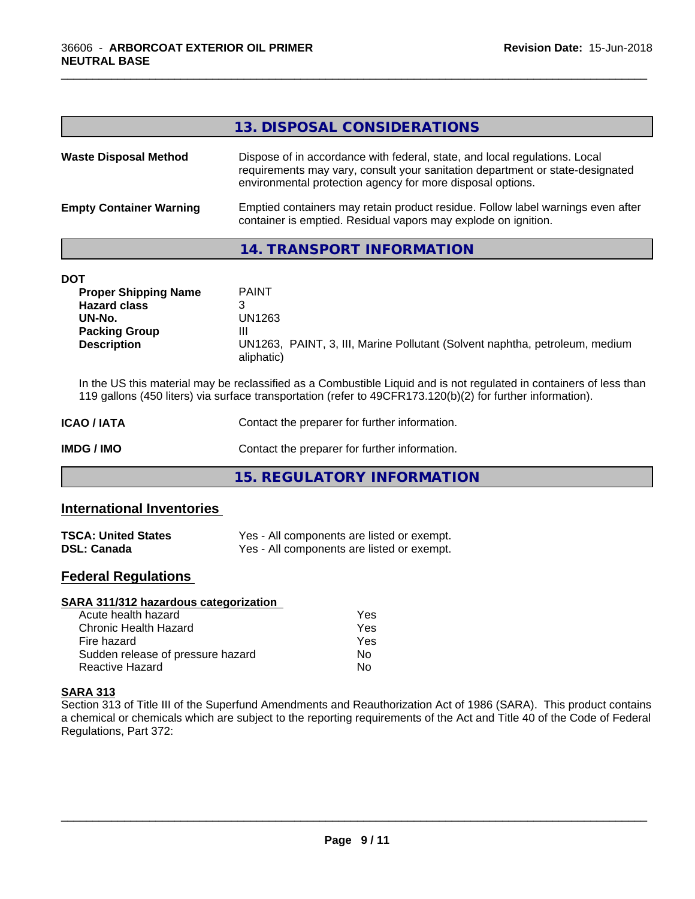|                                | 13. DISPOSAL CONSIDERATIONS                                                                                                                                                                                               |
|--------------------------------|---------------------------------------------------------------------------------------------------------------------------------------------------------------------------------------------------------------------------|
| <b>Waste Disposal Method</b>   | Dispose of in accordance with federal, state, and local regulations. Local<br>requirements may vary, consult your sanitation department or state-designated<br>environmental protection agency for more disposal options. |
| <b>Empty Container Warning</b> | Emptied containers may retain product residue. Follow label warnings even after<br>container is emptied. Residual vapors may explode on ignition.                                                                         |
|                                |                                                                                                                                                                                                                           |

\_\_\_\_\_\_\_\_\_\_\_\_\_\_\_\_\_\_\_\_\_\_\_\_\_\_\_\_\_\_\_\_\_\_\_\_\_\_\_\_\_\_\_\_\_\_\_\_\_\_\_\_\_\_\_\_\_\_\_\_\_\_\_\_\_\_\_\_\_\_\_\_\_\_\_\_\_\_\_\_\_\_\_\_\_\_\_\_\_\_\_\_\_

## **14. TRANSPORT INFORMATION**

| DOT                         |                                                                             |
|-----------------------------|-----------------------------------------------------------------------------|
| <b>Proper Shipping Name</b> | <b>PAINT</b>                                                                |
| <b>Hazard class</b>         |                                                                             |
| UN-No.                      | UN1263                                                                      |
| <b>Packing Group</b>        | Ш                                                                           |
| <b>Description</b>          | UN1263, PAINT, 3, III, Marine Pollutant (Solvent naphtha, petroleum, medium |
|                             | aliphatic)                                                                  |

In the US this material may be reclassified as a Combustible Liquid and is not regulated in containers of less than 119 gallons (450 liters) via surface transportation (refer to 49CFR173.120(b)(2) for further information).

| <b>ICAO/IATA</b> | Contact the preparer for further information. |  |  |
|------------------|-----------------------------------------------|--|--|
| IMDG / IMO       | Contact the preparer for further information. |  |  |
|                  | 15. REGULATORY INFORMATION                    |  |  |

## **International Inventories**

| <b>TSCA: United States</b> | Yes - All components are listed or exempt. |
|----------------------------|--------------------------------------------|
| <b>DSL: Canada</b>         | Yes - All components are listed or exempt. |

# **Federal Regulations**

| SARA 311/312 hazardous categorization |     |  |
|---------------------------------------|-----|--|
| Acute health hazard                   | Yes |  |
| Chronic Health Hazard                 | Yes |  |
| Fire hazard                           | Yes |  |
| Sudden release of pressure hazard     | No. |  |
| <b>Reactive Hazard</b>                | N٥  |  |

## **SARA 313**

Section 313 of Title III of the Superfund Amendments and Reauthorization Act of 1986 (SARA). This product contains a chemical or chemicals which are subject to the reporting requirements of the Act and Title 40 of the Code of Federal Regulations, Part 372: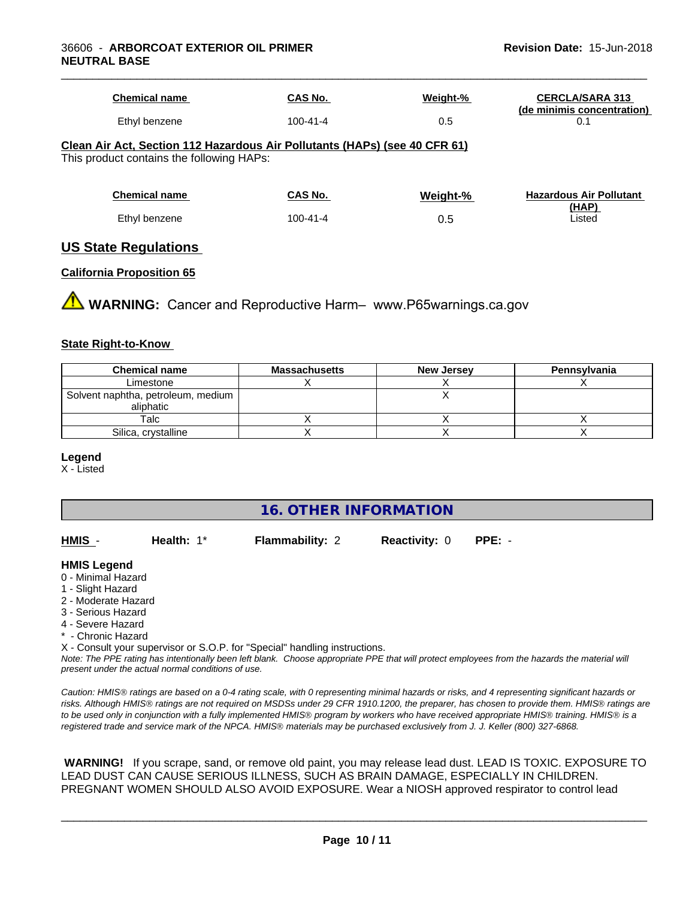| <b>Chemical name</b>                                                                                                    | CAS No.        | Weight-% | <b>CERCLA/SARA 313</b><br>(de minimis concentration) |
|-------------------------------------------------------------------------------------------------------------------------|----------------|----------|------------------------------------------------------|
| Ethyl benzene                                                                                                           | $100 - 41 - 4$ | 0.5      | 0.1                                                  |
| Clean Air Act, Section 112 Hazardous Air Pollutants (HAPs) (see 40 CFR 61)<br>This product contains the following HAPs: |                |          |                                                      |
| <b>Chemical name</b>                                                                                                    | CAS No.        | Weight-% | <b>Hazardous Air Pollutant</b>                       |
| Ethyl benzene                                                                                                           | $100 - 41 - 4$ | 0.5      | (HAP)<br>Listed                                      |
|                                                                                                                         |                |          |                                                      |

## **US State Regulations**

#### **California Proposition 65**

**AVIMARNING:** Cancer and Reproductive Harm– www.P65warnings.ca.gov

#### **State Right-to-Know**

| <b>Chemical name</b>                              | <b>Massachusetts</b> | New Jersey | Pennsylvania |
|---------------------------------------------------|----------------------|------------|--------------|
| Limestone                                         |                      |            |              |
| Solvent naphtha, petroleum, medium  <br>aliphatic |                      |            |              |
| Talc                                              |                      |            |              |
| Silica, crystalline                               |                      |            |              |

#### **Legend**

X - Listed

# **16. OTHER INFORMATION**

**HMIS** - **Health:** 1\* **Flammability:** 2 **Reactivity:** 0 **PPE:** -

#### **HMIS Legend**

- 0 Minimal Hazard
- 1 Slight Hazard
- 2 Moderate Hazard
- 3 Serious Hazard
- 4 Severe Hazard
- \* Chronic Hazard
- X Consult your supervisor or S.O.P. for "Special" handling instructions.

*Note: The PPE rating has intentionally been left blank. Choose appropriate PPE that will protect employees from the hazards the material will present under the actual normal conditions of use.*

*Caution: HMISÒ ratings are based on a 0-4 rating scale, with 0 representing minimal hazards or risks, and 4 representing significant hazards or risks. Although HMISÒ ratings are not required on MSDSs under 29 CFR 1910.1200, the preparer, has chosen to provide them. HMISÒ ratings are to be used only in conjunction with a fully implemented HMISÒ program by workers who have received appropriate HMISÒ training. HMISÒ is a registered trade and service mark of the NPCA. HMISÒ materials may be purchased exclusively from J. J. Keller (800) 327-6868.*

 **WARNING!** If you scrape, sand, or remove old paint, you may release lead dust. LEAD IS TOXIC. EXPOSURE TO LEAD DUST CAN CAUSE SERIOUS ILLNESS, SUCH AS BRAIN DAMAGE, ESPECIALLY IN CHILDREN. PREGNANT WOMEN SHOULD ALSO AVOID EXPOSURE.Wear a NIOSH approved respirator to control lead